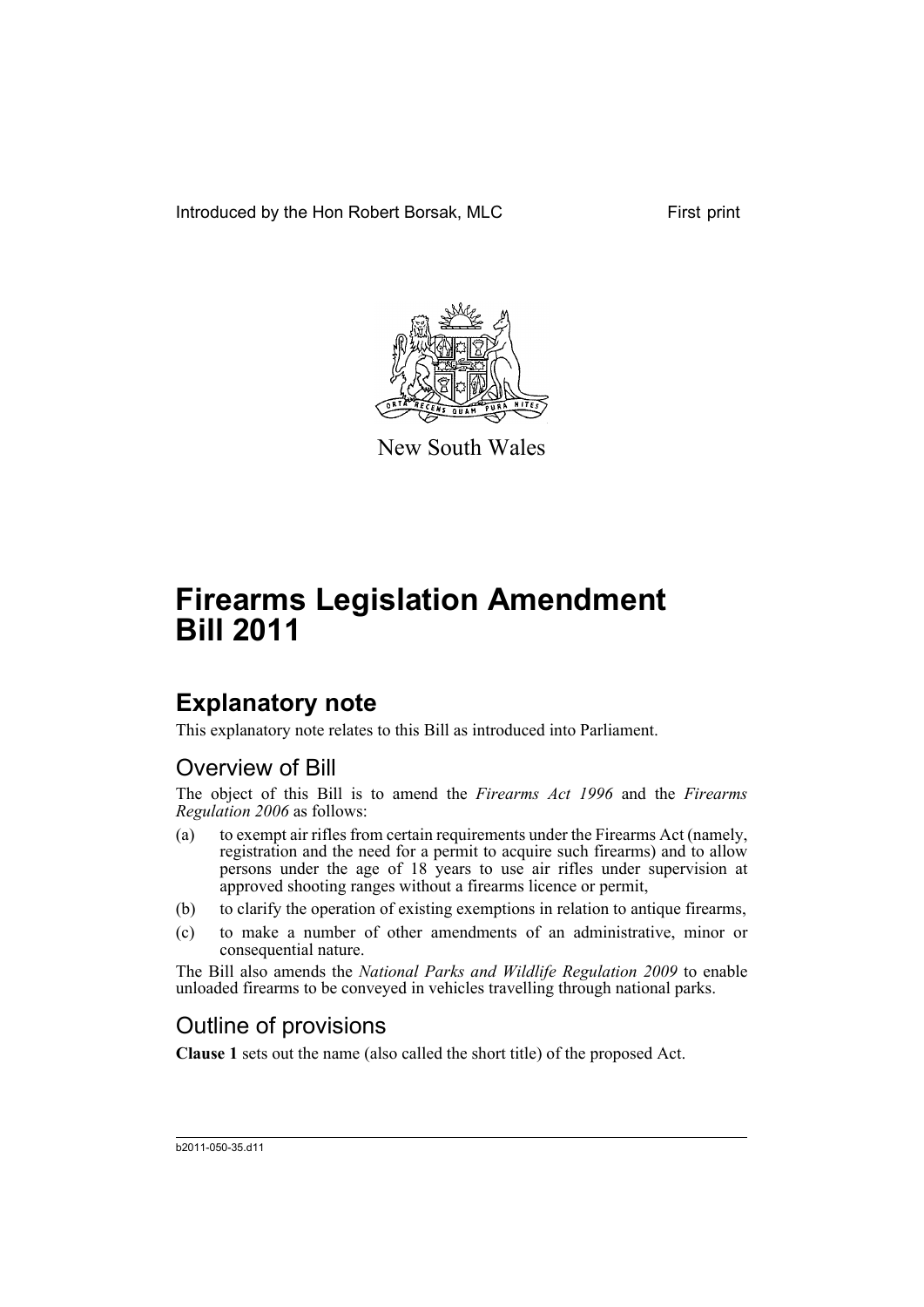Introduced by the Hon Robert Borsak, MLC First print



New South Wales

# **Firearms Legislation Amendment Bill 2011**

# **Explanatory note**

This explanatory note relates to this Bill as introduced into Parliament.

## Overview of Bill

The object of this Bill is to amend the *Firearms Act 1996* and the *Firearms Regulation 2006* as follows:

- (a) to exempt air rifles from certain requirements under the Firearms Act (namely, registration and the need for a permit to acquire such firearms) and to allow persons under the age of 18 years to use air rifles under supervision at approved shooting ranges without a firearms licence or permit,
- (b) to clarify the operation of existing exemptions in relation to antique firearms,
- (c) to make a number of other amendments of an administrative, minor or consequential nature.

The Bill also amends the *National Parks and Wildlife Regulation 2009* to enable unloaded firearms to be conveyed in vehicles travelling through national parks.

# Outline of provisions

**Clause 1** sets out the name (also called the short title) of the proposed Act.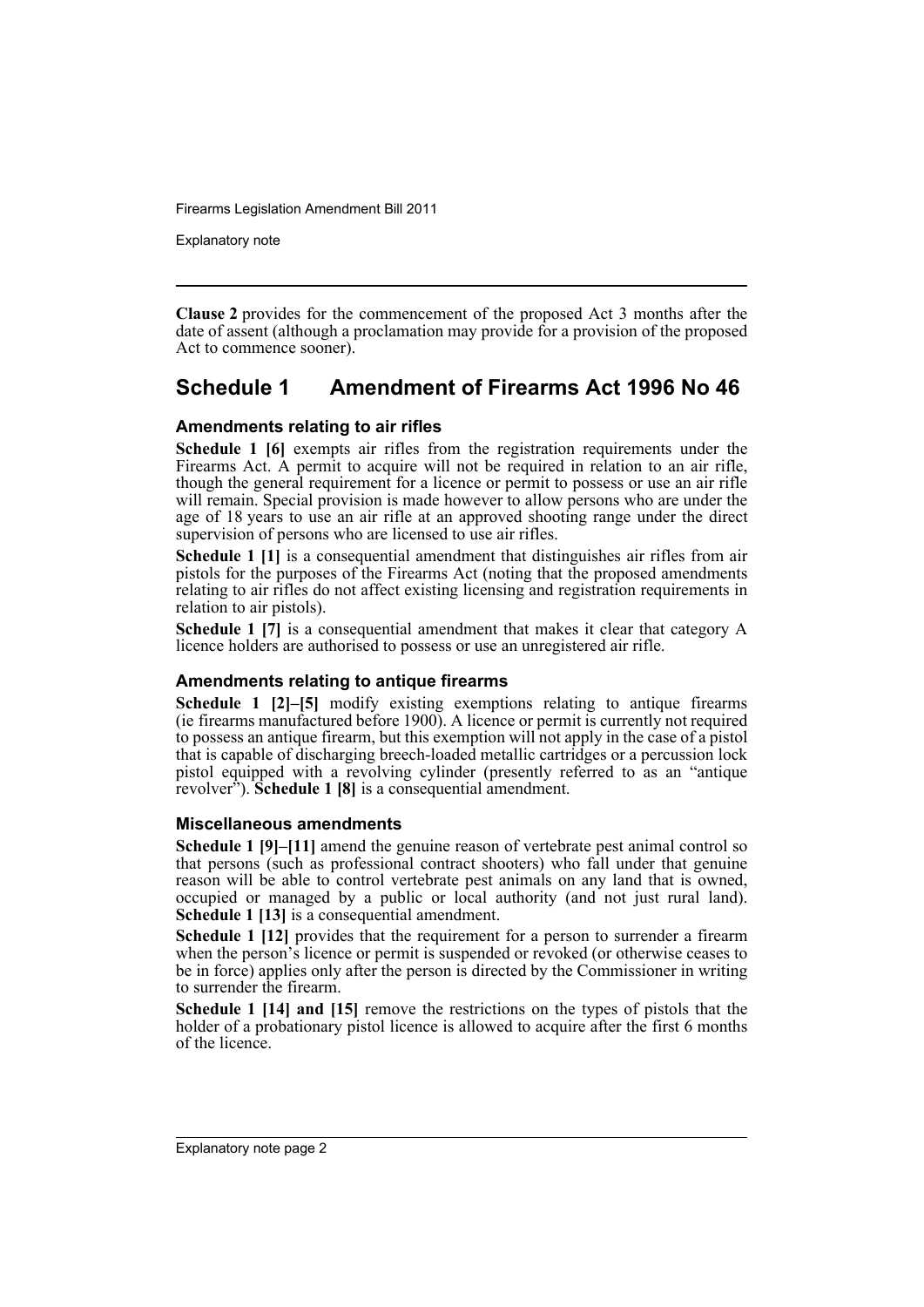Explanatory note

**Clause 2** provides for the commencement of the proposed Act 3 months after the date of assent (although a proclamation may provide for a provision of the proposed Act to commence sooner).

## **Schedule 1 Amendment of Firearms Act 1996 No 46**

### **Amendments relating to air rifles**

**Schedule 1 [6]** exempts air rifles from the registration requirements under the Firearms Act. A permit to acquire will not be required in relation to an air rifle, though the general requirement for a licence or permit to possess or use an air rifle will remain. Special provision is made however to allow persons who are under the age of 18 years to use an air rifle at an approved shooting range under the direct supervision of persons who are licensed to use air rifles.

**Schedule 1 [1]** is a consequential amendment that distinguishes air rifles from air pistols for the purposes of the Firearms Act (noting that the proposed amendments relating to air rifles do not affect existing licensing and registration requirements in relation to air pistols).

**Schedule 1 [7]** is a consequential amendment that makes it clear that category A licence holders are authorised to possess or use an unregistered air rifle.

### **Amendments relating to antique firearms**

**Schedule 1 [2]–[5]** modify existing exemptions relating to antique firearms (ie firearms manufactured before 1900). A licence or permit is currently not required to possess an antique firearm, but this exemption will not apply in the case of a pistol that is capable of discharging breech-loaded metallic cartridges or a percussion lock pistol equipped with a revolving cylinder (presently referred to as an "antique revolver"). **Schedule 1 [8]** is a consequential amendment.

#### **Miscellaneous amendments**

**Schedule 1 [9]–[11]** amend the genuine reason of vertebrate pest animal control so that persons (such as professional contract shooters) who fall under that genuine reason will be able to control vertebrate pest animals on any land that is owned, occupied or managed by a public or local authority (and not just rural land). **Schedule 1 [13]** is a consequential amendment.

**Schedule 1 [12]** provides that the requirement for a person to surrender a firearm when the person's licence or permit is suspended or revoked (or otherwise ceases to be in force) applies only after the person is directed by the Commissioner in writing to surrender the firearm.

**Schedule 1 [14] and [15]** remove the restrictions on the types of pistols that the holder of a probationary pistol licence is allowed to acquire after the first 6 months of the licence.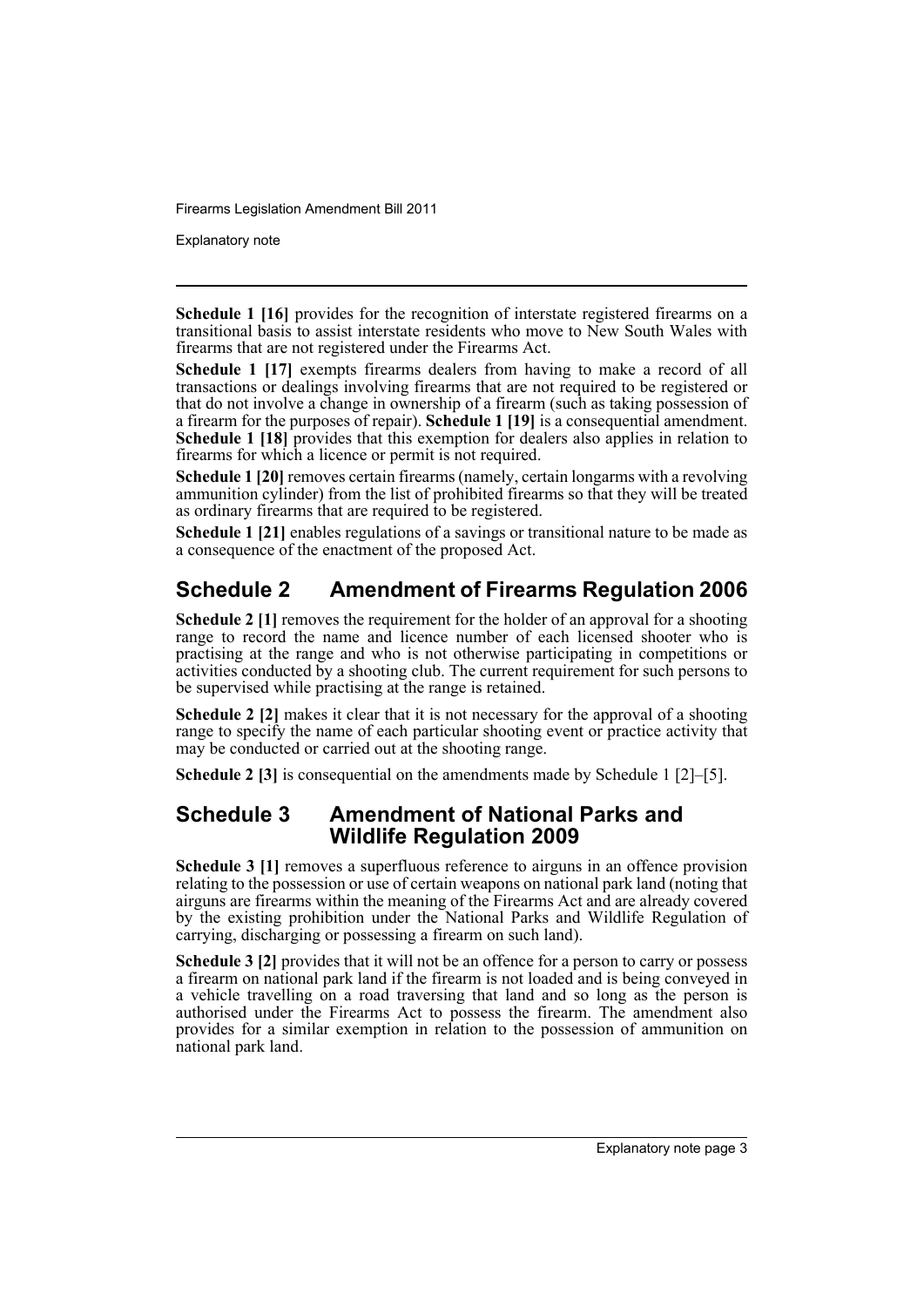Explanatory note

**Schedule 1 [16]** provides for the recognition of interstate registered firearms on a transitional basis to assist interstate residents who move to New South Wales with firearms that are not registered under the Firearms Act.

**Schedule 1 [17]** exempts firearms dealers from having to make a record of all transactions or dealings involving firearms that are not required to be registered or that do not involve a change in ownership of a firearm (such as taking possession of a firearm for the purposes of repair). **Schedule 1 [19]** is a consequential amendment. **Schedule 1 [18]** provides that this exemption for dealers also applies in relation to firearms for which a licence or permit is not required.

**Schedule 1 [20]** removes certain firearms (namely, certain longarms with a revolving ammunition cylinder) from the list of prohibited firearms so that they will be treated as ordinary firearms that are required to be registered.

**Schedule 1 [21]** enables regulations of a savings or transitional nature to be made as a consequence of the enactment of the proposed Act.

# **Schedule 2 Amendment of Firearms Regulation 2006**

**Schedule 2 [1]** removes the requirement for the holder of an approval for a shooting range to record the name and licence number of each licensed shooter who is practising at the range and who is not otherwise participating in competitions or activities conducted by a shooting club. The current requirement for such persons to be supervised while practising at the range is retained.

**Schedule 2 [2]** makes it clear that it is not necessary for the approval of a shooting range to specify the name of each particular shooting event or practice activity that may be conducted or carried out at the shooting range.

**Schedule 2 [3]** is consequential on the amendments made by Schedule 1 [2]–[5].

## **Schedule 3 Amendment of National Parks and Wildlife Regulation 2009**

**Schedule 3 [1]** removes a superfluous reference to airguns in an offence provision relating to the possession or use of certain weapons on national park land (noting that airguns are firearms within the meaning of the Firearms Act and are already covered by the existing prohibition under the National Parks and Wildlife Regulation of carrying, discharging or possessing a firearm on such land).

**Schedule 3 [2]** provides that it will not be an offence for a person to carry or possess a firearm on national park land if the firearm is not loaded and is being conveyed in a vehicle travelling on a road traversing that land and so long as the person is authorised under the Firearms Act to possess the firearm. The amendment also provides for a similar exemption in relation to the possession of ammunition on national park land.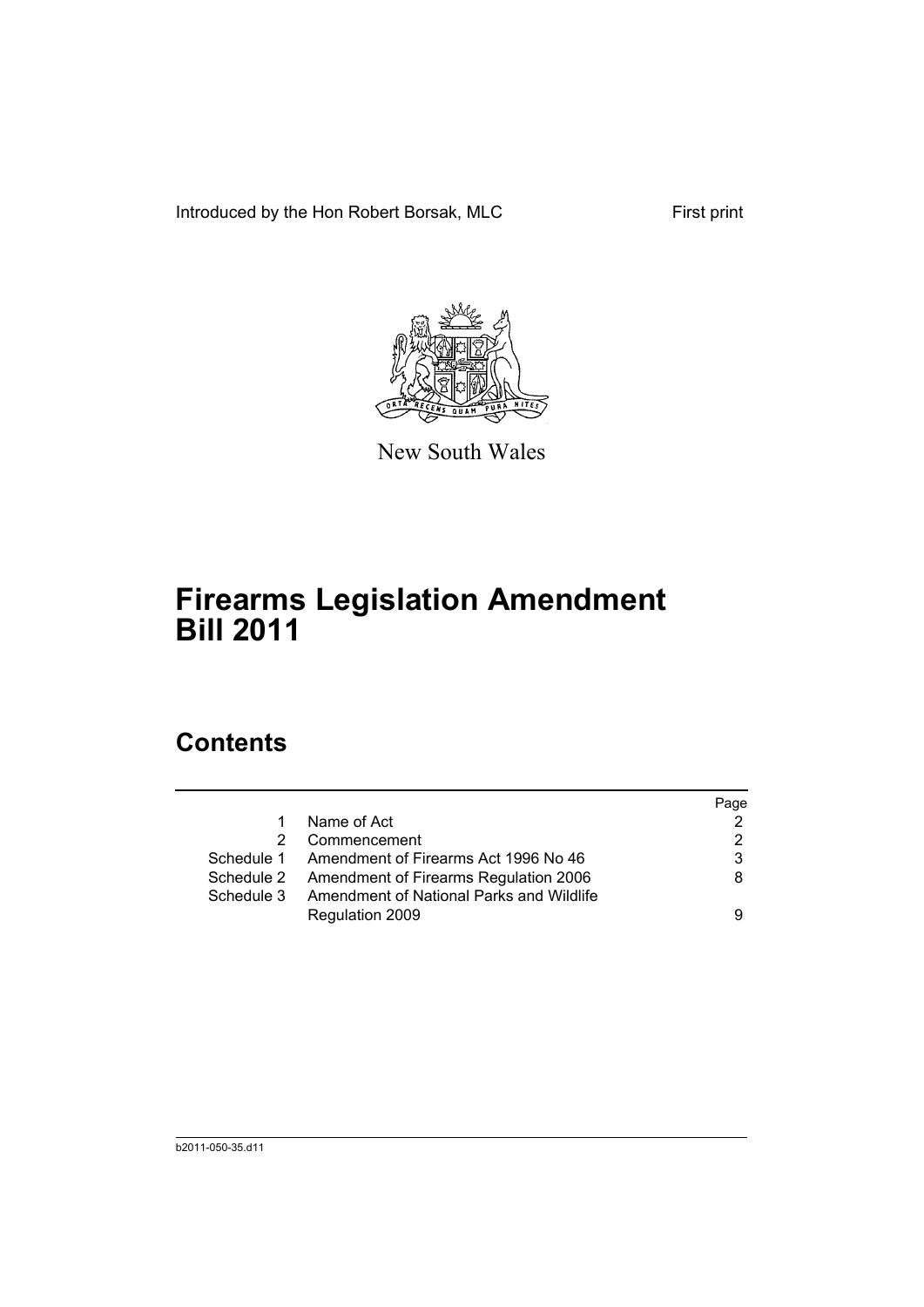Introduced by the Hon Robert Borsak, MLC First print



New South Wales

# **Firearms Legislation Amendment Bill 2011**

# **Contents**

|            |                                                  | Page |
|------------|--------------------------------------------------|------|
| 1          | Name of Act                                      |      |
| 2          | Commencement                                     | 2    |
|            | Schedule 1 Amendment of Firearms Act 1996 No 46  | 3    |
|            | Schedule 2 Amendment of Firearms Regulation 2006 | 8    |
| Schedule 3 | Amendment of National Parks and Wildlife         |      |
|            | Regulation 2009                                  | 9    |
|            |                                                  |      |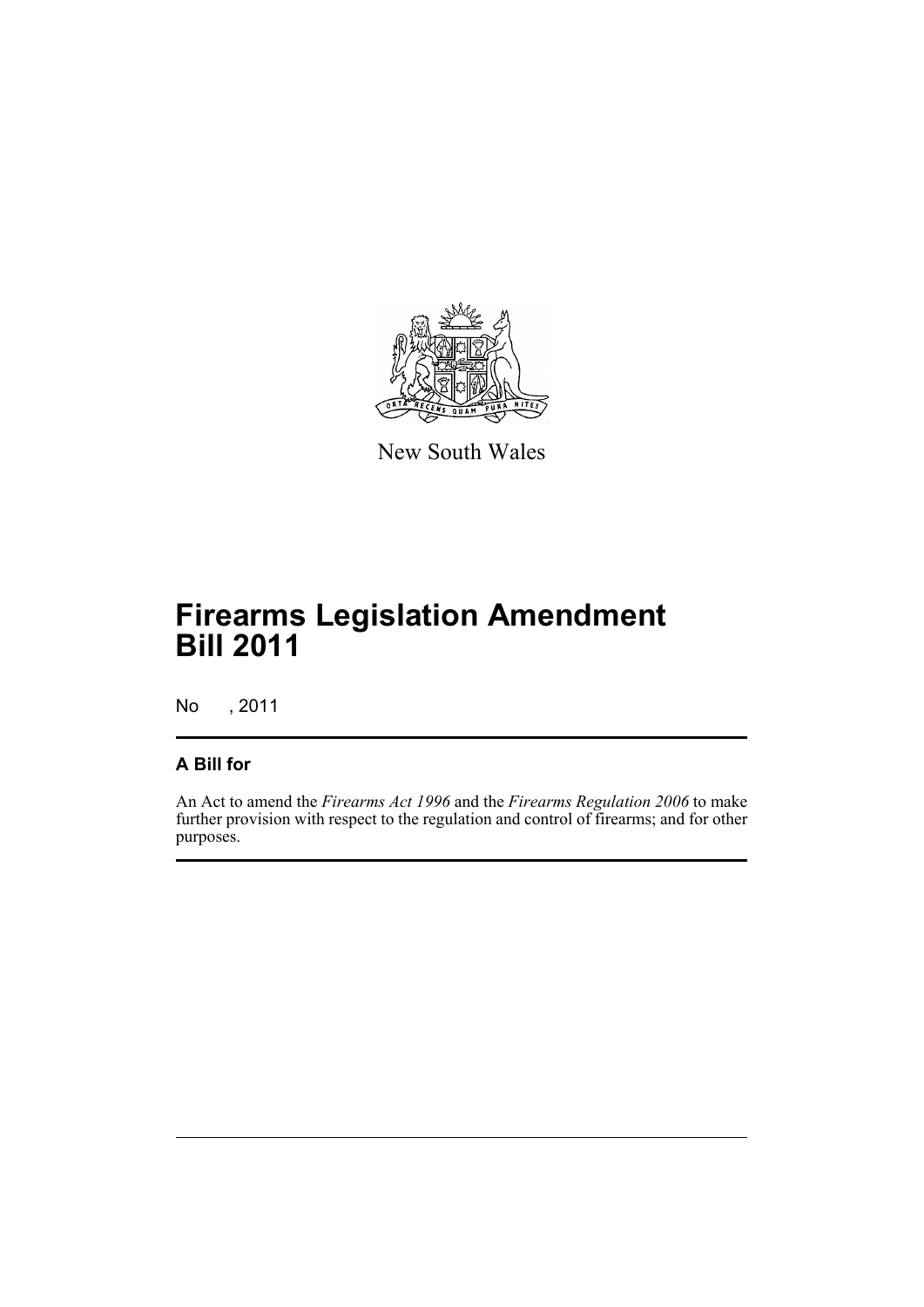

New South Wales

# **Firearms Legislation Amendment Bill 2011**

No , 2011

## **A Bill for**

An Act to amend the *Firearms Act 1996* and the *Firearms Regulation 2006* to make further provision with respect to the regulation and control of firearms; and for other purposes.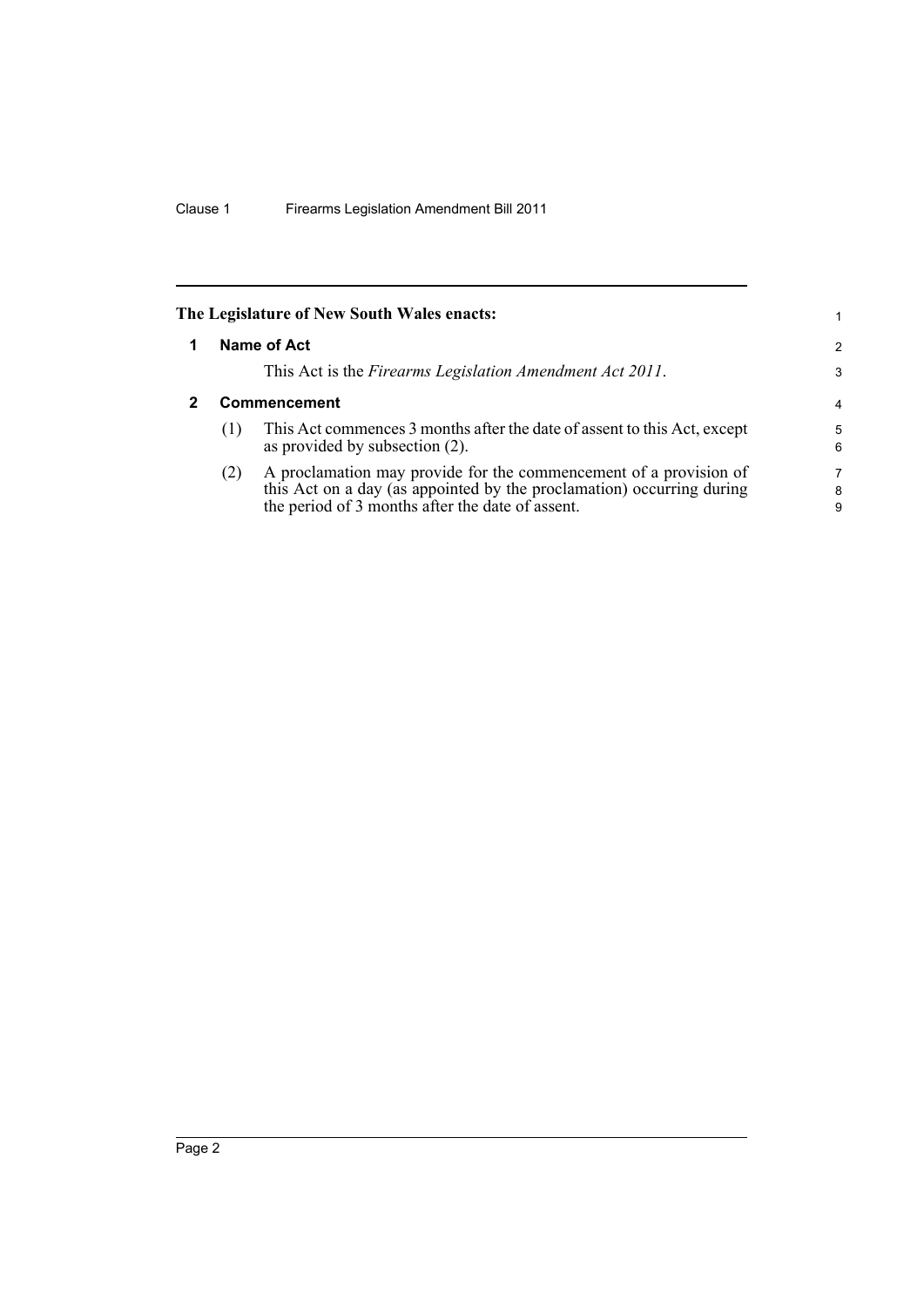<span id="page-7-1"></span><span id="page-7-0"></span>

|                     | The Legislature of New South Wales enacts:                                                                                                                                                     | 1.          |  |
|---------------------|------------------------------------------------------------------------------------------------------------------------------------------------------------------------------------------------|-------------|--|
|                     | Name of Act                                                                                                                                                                                    | 2           |  |
|                     | This Act is the Firearms Legislation Amendment Act 2011.                                                                                                                                       | 3           |  |
| <b>Commencement</b> |                                                                                                                                                                                                |             |  |
| (1)                 | This Act commences 3 months after the date of assent to this Act, except<br>as provided by subsection (2).                                                                                     | 5<br>6      |  |
| (2)                 | A proclamation may provide for the commencement of a provision of<br>this Act on a day (as appointed by the proclamation) occurring during<br>the period of 3 months after the date of assent. | 7<br>8<br>9 |  |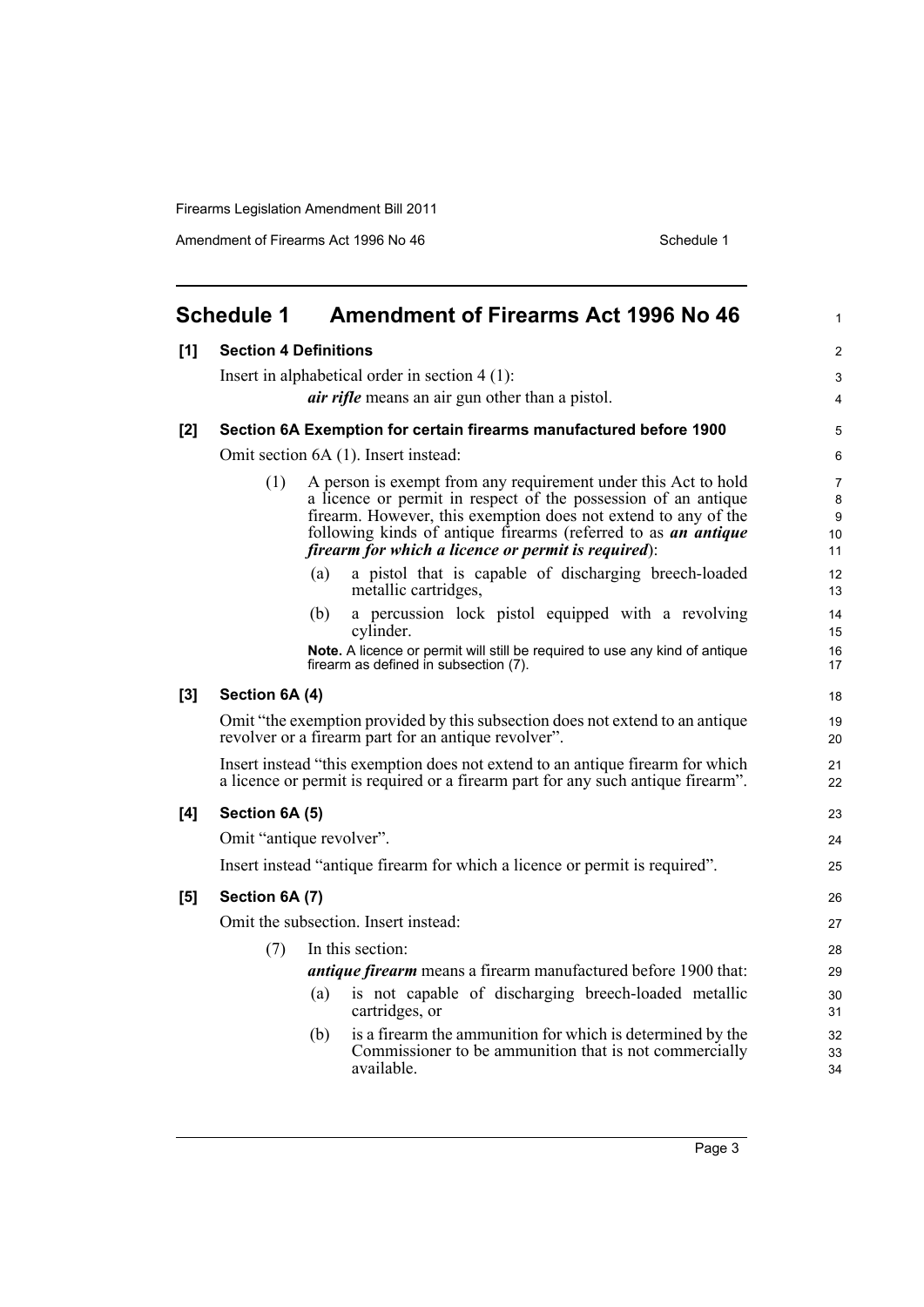Amendment of Firearms Act 1996 No 46 Schedule 1

<span id="page-8-0"></span>

|     | <b>Schedule 1</b>                                                                                                                                                  | <b>Amendment of Firearms Act 1996 No 46</b>                                                                                                                                                                                                                                                                                 | $\mathbf{1}$            |  |  |  |  |
|-----|--------------------------------------------------------------------------------------------------------------------------------------------------------------------|-----------------------------------------------------------------------------------------------------------------------------------------------------------------------------------------------------------------------------------------------------------------------------------------------------------------------------|-------------------------|--|--|--|--|
| [1] | <b>Section 4 Definitions</b>                                                                                                                                       |                                                                                                                                                                                                                                                                                                                             |                         |  |  |  |  |
|     | Insert in alphabetical order in section $4(1)$ :                                                                                                                   |                                                                                                                                                                                                                                                                                                                             |                         |  |  |  |  |
|     | <i>air rifle</i> means an air gun other than a pistol.                                                                                                             |                                                                                                                                                                                                                                                                                                                             |                         |  |  |  |  |
| [2] |                                                                                                                                                                    | Section 6A Exemption for certain firearms manufactured before 1900                                                                                                                                                                                                                                                          | 5                       |  |  |  |  |
|     |                                                                                                                                                                    | Omit section 6A (1). Insert instead:                                                                                                                                                                                                                                                                                        | 6                       |  |  |  |  |
|     | (1)                                                                                                                                                                | A person is exempt from any requirement under this Act to hold<br>a licence or permit in respect of the possession of an antique<br>firearm. However, this exemption does not extend to any of the<br>following kinds of antique firearms (referred to as an antique<br>firearm for which a licence or permit is required): | 7<br>8<br>9<br>10<br>11 |  |  |  |  |
|     |                                                                                                                                                                    | a pistol that is capable of discharging breech-loaded<br>(a)<br>metallic cartridges,                                                                                                                                                                                                                                        | 12<br>13                |  |  |  |  |
|     |                                                                                                                                                                    | a percussion lock pistol equipped with a revolving<br>(b)<br>cylinder.                                                                                                                                                                                                                                                      | 14<br>15                |  |  |  |  |
|     |                                                                                                                                                                    | Note. A licence or permit will still be required to use any kind of antique<br>firearm as defined in subsection (7).                                                                                                                                                                                                        | 16<br>17                |  |  |  |  |
| [3] | Section 6A (4)                                                                                                                                                     |                                                                                                                                                                                                                                                                                                                             | 18                      |  |  |  |  |
|     |                                                                                                                                                                    | Omit "the exemption provided by this subsection does not extend to an antique<br>revolver or a firearm part for an antique revolver".                                                                                                                                                                                       | 19<br>20                |  |  |  |  |
|     | Insert instead "this exemption does not extend to an antique firearm for which<br>a licence or permit is required or a firearm part for any such antique firearm". |                                                                                                                                                                                                                                                                                                                             |                         |  |  |  |  |
| [4] | Section 6A (5)                                                                                                                                                     |                                                                                                                                                                                                                                                                                                                             |                         |  |  |  |  |
|     |                                                                                                                                                                    | Omit "antique revolver".                                                                                                                                                                                                                                                                                                    | 24                      |  |  |  |  |
|     |                                                                                                                                                                    | Insert instead "antique firearm for which a licence or permit is required".                                                                                                                                                                                                                                                 | 25                      |  |  |  |  |
| [5] | Section 6A (7)                                                                                                                                                     |                                                                                                                                                                                                                                                                                                                             | 26                      |  |  |  |  |
|     |                                                                                                                                                                    | Omit the subsection. Insert instead:                                                                                                                                                                                                                                                                                        | 27                      |  |  |  |  |
|     | (7)                                                                                                                                                                | In this section:                                                                                                                                                                                                                                                                                                            | 28                      |  |  |  |  |
|     |                                                                                                                                                                    | <i>antique firearm</i> means a firearm manufactured before 1900 that:                                                                                                                                                                                                                                                       | 29                      |  |  |  |  |
|     |                                                                                                                                                                    | is not capable of discharging breech-loaded metallic<br>(a)<br>cartridges, or                                                                                                                                                                                                                                               | 30<br>31                |  |  |  |  |
|     |                                                                                                                                                                    | is a firearm the ammunition for which is determined by the<br>(b)<br>Commissioner to be ammunition that is not commercially<br>available.                                                                                                                                                                                   | 32<br>33<br>34          |  |  |  |  |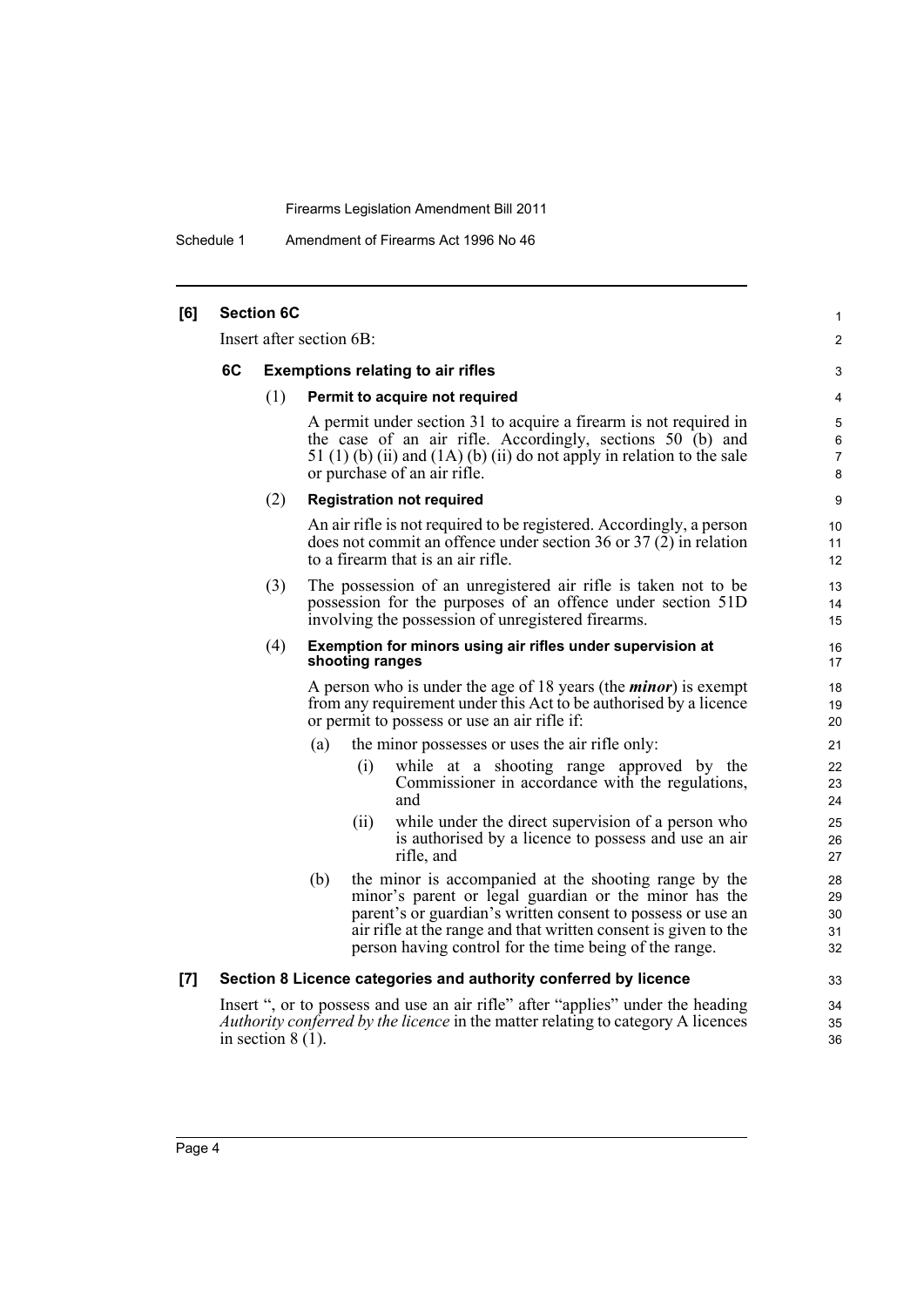Schedule 1 Amendment of Firearms Act 1996 No 46

| [6] |    | <b>Section 6C</b>   |                                          |                 |                                                                                                                                                                                                                                                                                                            | 1                          |
|-----|----|---------------------|------------------------------------------|-----------------|------------------------------------------------------------------------------------------------------------------------------------------------------------------------------------------------------------------------------------------------------------------------------------------------------------|----------------------------|
|     |    |                     | Insert after section 6B:                 |                 |                                                                                                                                                                                                                                                                                                            | $\overline{2}$             |
|     | 6C |                     | <b>Exemptions relating to air rifles</b> |                 |                                                                                                                                                                                                                                                                                                            |                            |
|     |    | (1)                 |                                          |                 | Permit to acquire not required                                                                                                                                                                                                                                                                             | 4                          |
|     |    |                     |                                          |                 | A permit under section 31 to acquire a firearm is not required in<br>the case of an air rifle. Accordingly, sections 50 (b) and<br>51 $(1)$ (b) (ii) and $(1A)$ (b) (ii) do not apply in relation to the sale<br>or purchase of an air rifle.                                                              | 5<br>6<br>7<br>8           |
|     |    | (2)                 |                                          |                 | <b>Registration not required</b>                                                                                                                                                                                                                                                                           | 9                          |
|     |    |                     |                                          |                 | An air rifle is not required to be registered. Accordingly, a person<br>does not commit an offence under section 36 or $37(2)$ in relation<br>to a firearm that is an air rifle.                                                                                                                           | 10<br>11<br>12             |
|     |    | (3)                 |                                          |                 | The possession of an unregistered air rifle is taken not to be<br>possession for the purposes of an offence under section 51D<br>involving the possession of unregistered firearms.                                                                                                                        | 13<br>14<br>15             |
|     |    | (4)                 |                                          | shooting ranges | Exemption for minors using air rifles under supervision at                                                                                                                                                                                                                                                 | 16<br>17                   |
|     |    |                     |                                          |                 | A person who is under the age of 18 years (the <i>minor</i> ) is exempt<br>from any requirement under this Act to be authorised by a licence<br>or permit to possess or use an air rifle if:                                                                                                               | 18<br>19<br>20             |
|     |    |                     | (a)                                      |                 | the minor possesses or uses the air rifle only:                                                                                                                                                                                                                                                            | 21                         |
|     |    |                     |                                          | (i)             | while at a shooting range approved by the<br>Commissioner in accordance with the regulations,<br>and                                                                                                                                                                                                       | 22<br>23<br>24             |
|     |    |                     |                                          | (ii)            | while under the direct supervision of a person who<br>is authorised by a licence to possess and use an air<br>rifle, and                                                                                                                                                                                   | 25<br>26<br>27             |
|     |    |                     | (b)                                      |                 | the minor is accompanied at the shooting range by the<br>minor's parent or legal guardian or the minor has the<br>parent's or guardian's written consent to possess or use an<br>air rifle at the range and that written consent is given to the<br>person having control for the time being of the range. | 28<br>29<br>30<br>31<br>32 |
| [7] |    |                     |                                          |                 | Section 8 Licence categories and authority conferred by licence                                                                                                                                                                                                                                            | 33                         |
|     |    | in section $8(1)$ . |                                          |                 | Insert ", or to possess and use an air rifle" after "applies" under the heading<br><i>Authority conferred by the licence</i> in the matter relating to category A licences                                                                                                                                 | 34<br>35<br>36             |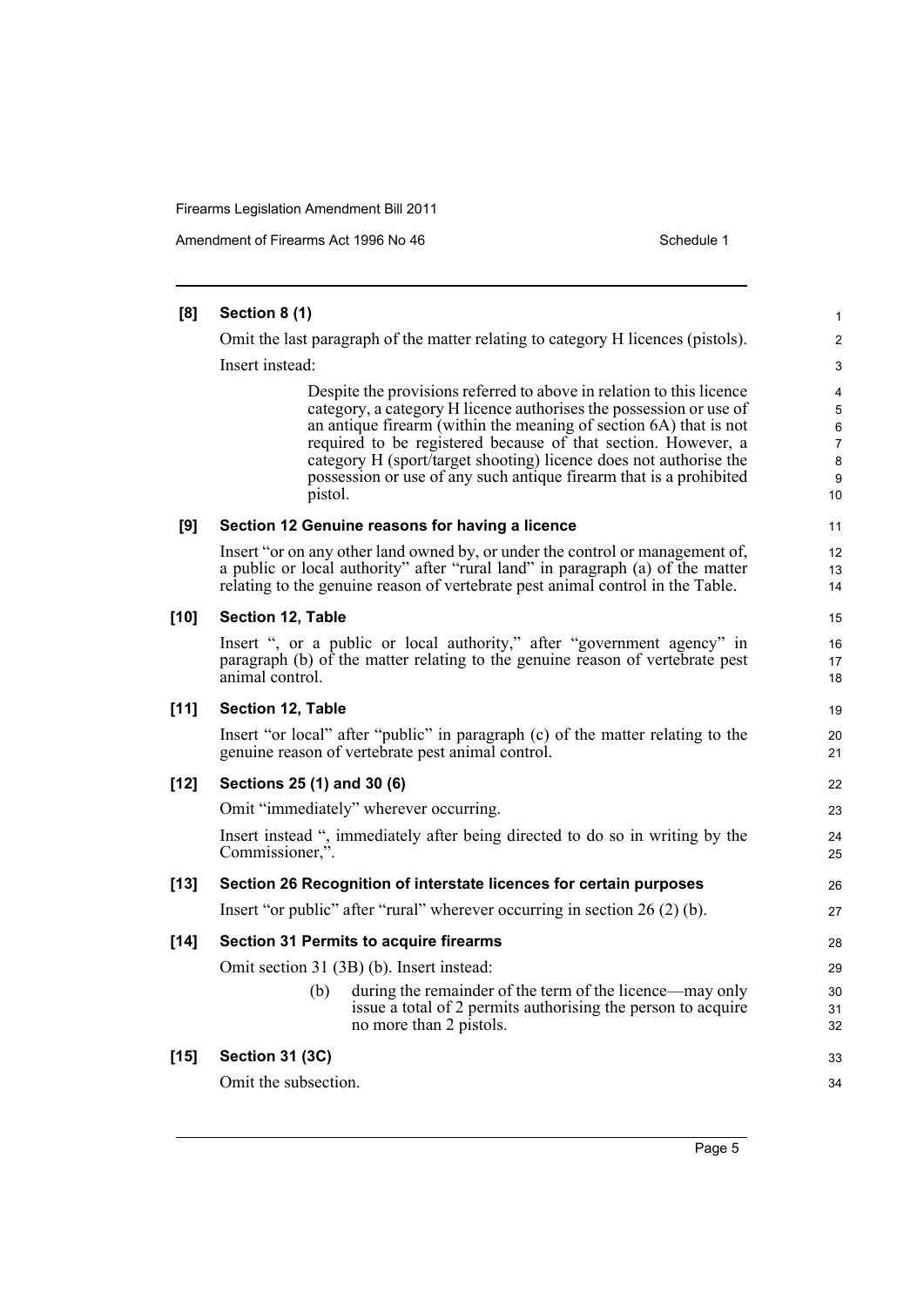| [8]    | Section 8 (1)                                                                                                                                                                                                                                                                                                                                                                                                                          | 1                                             |  |  |
|--------|----------------------------------------------------------------------------------------------------------------------------------------------------------------------------------------------------------------------------------------------------------------------------------------------------------------------------------------------------------------------------------------------------------------------------------------|-----------------------------------------------|--|--|
|        | Omit the last paragraph of the matter relating to category H licences (pistols).                                                                                                                                                                                                                                                                                                                                                       |                                               |  |  |
|        | Insert instead:                                                                                                                                                                                                                                                                                                                                                                                                                        | 3                                             |  |  |
|        | Despite the provisions referred to above in relation to this licence<br>category, a category H licence authorises the possession or use of<br>an antique firearm (within the meaning of section 6A) that is not<br>required to be registered because of that section. However, a<br>category H (sport/target shooting) licence does not authorise the<br>possession or use of any such antique firearm that is a prohibited<br>pistol. | $\overline{4}$<br>5<br>6<br>7<br>8<br>9<br>10 |  |  |
| [9]    | Section 12 Genuine reasons for having a licence                                                                                                                                                                                                                                                                                                                                                                                        | 11                                            |  |  |
|        | Insert "or on any other land owned by, or under the control or management of,<br>a public or local authority" after "rural land" in paragraph (a) of the matter<br>relating to the genuine reason of vertebrate pest animal control in the Table.                                                                                                                                                                                      | 12<br>13<br>14                                |  |  |
| $[10]$ | Section 12, Table                                                                                                                                                                                                                                                                                                                                                                                                                      | 15                                            |  |  |
|        | Insert ", or a public or local authority," after "government agency" in<br>paragraph $(b)$ of the matter relating to the genuine reason of vertebrate pest<br>animal control.                                                                                                                                                                                                                                                          | 16<br>17<br>18                                |  |  |
| $[11]$ | Section 12, Table                                                                                                                                                                                                                                                                                                                                                                                                                      | 19                                            |  |  |
|        | Insert "or local" after "public" in paragraph (c) of the matter relating to the<br>genuine reason of vertebrate pest animal control.                                                                                                                                                                                                                                                                                                   | 20<br>21                                      |  |  |
| $[12]$ | Sections 25 (1) and 30 (6)                                                                                                                                                                                                                                                                                                                                                                                                             | 22                                            |  |  |
|        | Omit "immediately" wherever occurring.                                                                                                                                                                                                                                                                                                                                                                                                 | 23                                            |  |  |
|        | Insert instead ", immediately after being directed to do so in writing by the<br>Commissioner,".                                                                                                                                                                                                                                                                                                                                       | 24<br>25                                      |  |  |
| $[13]$ | Section 26 Recognition of interstate licences for certain purposes                                                                                                                                                                                                                                                                                                                                                                     | 26                                            |  |  |
|        | Insert "or public" after "rural" wherever occurring in section 26 (2) (b).                                                                                                                                                                                                                                                                                                                                                             | 27                                            |  |  |
| $[14]$ | <b>Section 31 Permits to acquire firearms</b>                                                                                                                                                                                                                                                                                                                                                                                          | 28                                            |  |  |
|        | Omit section 31 (3B) (b). Insert instead:                                                                                                                                                                                                                                                                                                                                                                                              | 29                                            |  |  |
|        | during the remainder of the term of the licence—may only<br>(b)<br>issue a total of 2 permits authorising the person to acquire<br>no more than 2 pistols.                                                                                                                                                                                                                                                                             | 30<br>31<br>32                                |  |  |
| $[15]$ | <b>Section 31 (3C)</b>                                                                                                                                                                                                                                                                                                                                                                                                                 | 33                                            |  |  |
|        | Omit the subsection.                                                                                                                                                                                                                                                                                                                                                                                                                   | 34                                            |  |  |
|        |                                                                                                                                                                                                                                                                                                                                                                                                                                        |                                               |  |  |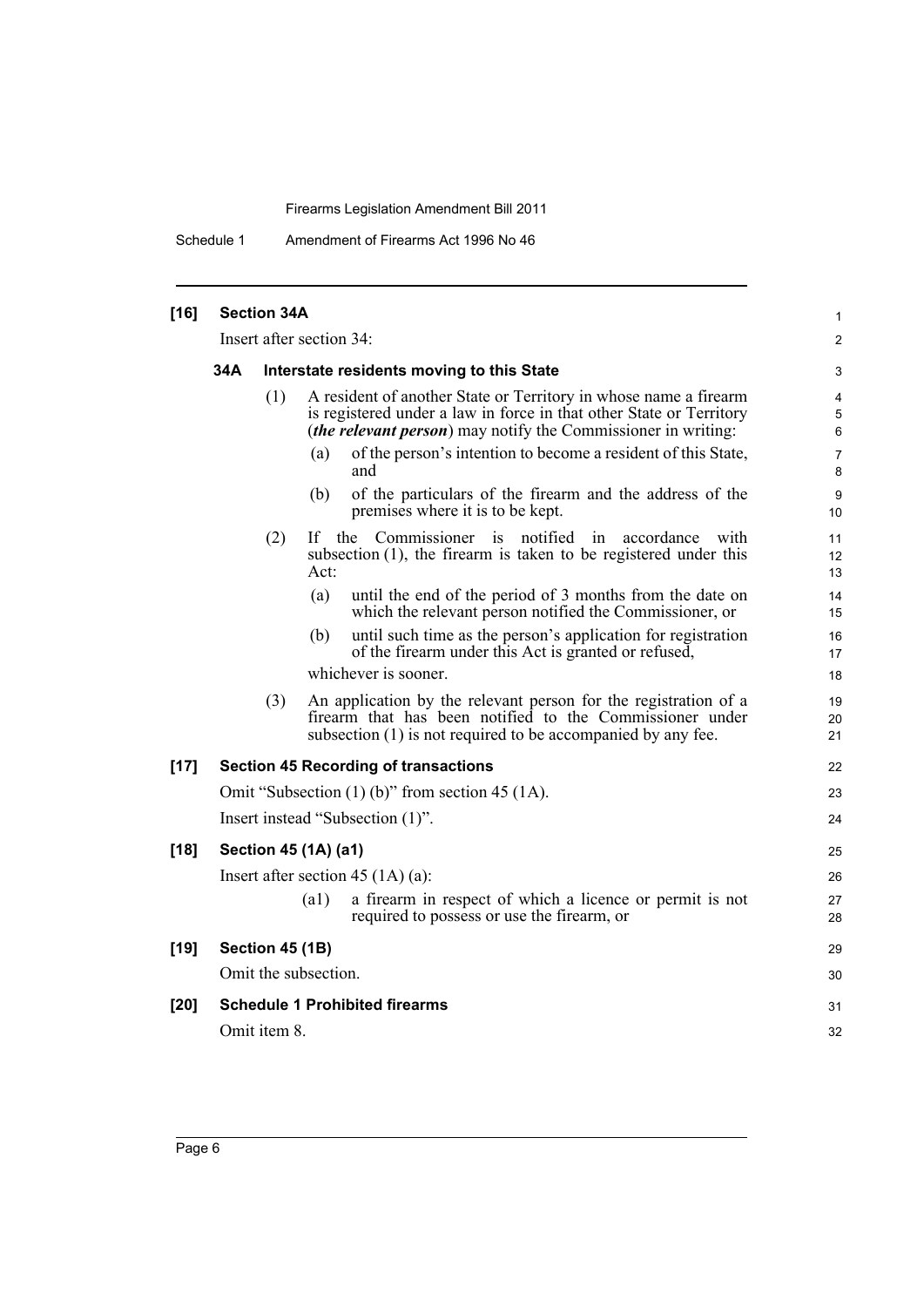Schedule 1 Amendment of Firearms Act 1996 No 46

| $[16]$ | <b>Section 34A</b>                                                                                                                                                                                                     |                 |                                                                                                                                                                                             |                |  |  |
|--------|------------------------------------------------------------------------------------------------------------------------------------------------------------------------------------------------------------------------|-----------------|---------------------------------------------------------------------------------------------------------------------------------------------------------------------------------------------|----------------|--|--|
|        | Insert after section 34:                                                                                                                                                                                               |                 |                                                                                                                                                                                             |                |  |  |
|        | 34A                                                                                                                                                                                                                    |                 | Interstate residents moving to this State                                                                                                                                                   |                |  |  |
|        | A resident of another State or Territory in whose name a firearm<br>(1)<br>is registered under a law in force in that other State or Territory<br><i>(the relevant person)</i> may notify the Commissioner in writing: |                 |                                                                                                                                                                                             |                |  |  |
|        |                                                                                                                                                                                                                        |                 | of the person's intention to become a resident of this State,<br>(a)<br>and                                                                                                                 | 7<br>8         |  |  |
|        |                                                                                                                                                                                                                        |                 | of the particulars of the firearm and the address of the<br>(b)<br>premises where it is to be kept.                                                                                         | 9<br>10        |  |  |
|        |                                                                                                                                                                                                                        | (2)             | If the Commissioner is notified in<br>accordance<br>with<br>subsection $(1)$ , the firearm is taken to be registered under this<br>Act:                                                     | 11<br>12<br>13 |  |  |
|        |                                                                                                                                                                                                                        |                 | (a)<br>until the end of the period of 3 months from the date on<br>which the relevant person notified the Commissioner, or                                                                  | 14<br>15       |  |  |
|        |                                                                                                                                                                                                                        |                 | until such time as the person's application for registration<br>(b)<br>of the firearm under this Act is granted or refused,                                                                 | 16<br>17       |  |  |
|        |                                                                                                                                                                                                                        |                 | whichever is sooner.                                                                                                                                                                        | 18             |  |  |
|        |                                                                                                                                                                                                                        | (3)             | An application by the relevant person for the registration of a<br>firearm that has been notified to the Commissioner under<br>subsection (1) is not required to be accompanied by any fee. | 19<br>20<br>21 |  |  |
| $[17]$ |                                                                                                                                                                                                                        |                 | <b>Section 45 Recording of transactions</b>                                                                                                                                                 | 22             |  |  |
|        | Omit "Subsection $(1)$ (b)" from section 45 $(1A)$ .                                                                                                                                                                   |                 |                                                                                                                                                                                             |                |  |  |
|        | Insert instead "Subsection (1)".                                                                                                                                                                                       |                 |                                                                                                                                                                                             |                |  |  |
| $[18]$ |                                                                                                                                                                                                                        |                 | Section 45 (1A) (a1)                                                                                                                                                                        | 25             |  |  |
|        |                                                                                                                                                                                                                        |                 | Insert after section 45 $(1A)$ (a):                                                                                                                                                         | 26             |  |  |
|        |                                                                                                                                                                                                                        |                 | a firearm in respect of which a licence or permit is not<br>$\left( a1\right)$<br>required to possess or use the firearm, or                                                                | 27<br>28       |  |  |
| $[19]$ |                                                                                                                                                                                                                        | Section 45 (1B) |                                                                                                                                                                                             | 29             |  |  |
|        |                                                                                                                                                                                                                        |                 | Omit the subsection.                                                                                                                                                                        | 30             |  |  |
| $[20]$ |                                                                                                                                                                                                                        |                 | <b>Schedule 1 Prohibited firearms</b>                                                                                                                                                       | 31             |  |  |
|        |                                                                                                                                                                                                                        | Omit item 8.    |                                                                                                                                                                                             | 32             |  |  |
|        |                                                                                                                                                                                                                        |                 |                                                                                                                                                                                             |                |  |  |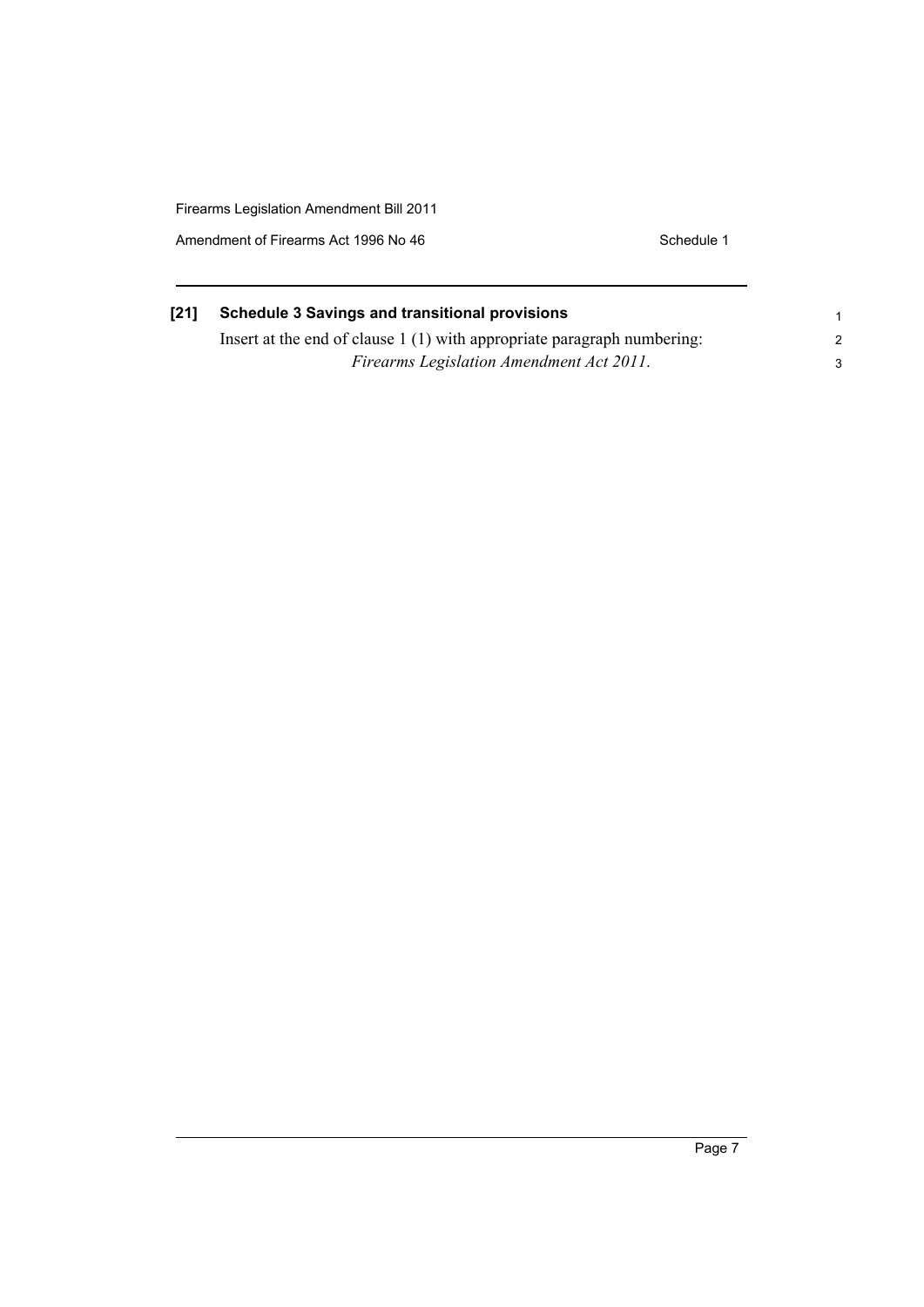Amendment of Firearms Act 1996 No 46 Schedule 1

| [21] | <b>Schedule 3 Savings and transitional provisions</b>                   |  |  |  |
|------|-------------------------------------------------------------------------|--|--|--|
|      | Insert at the end of clause 1 (1) with appropriate paragraph numbering: |  |  |  |
|      | Firearms Legislation Amendment Act 2011.                                |  |  |  |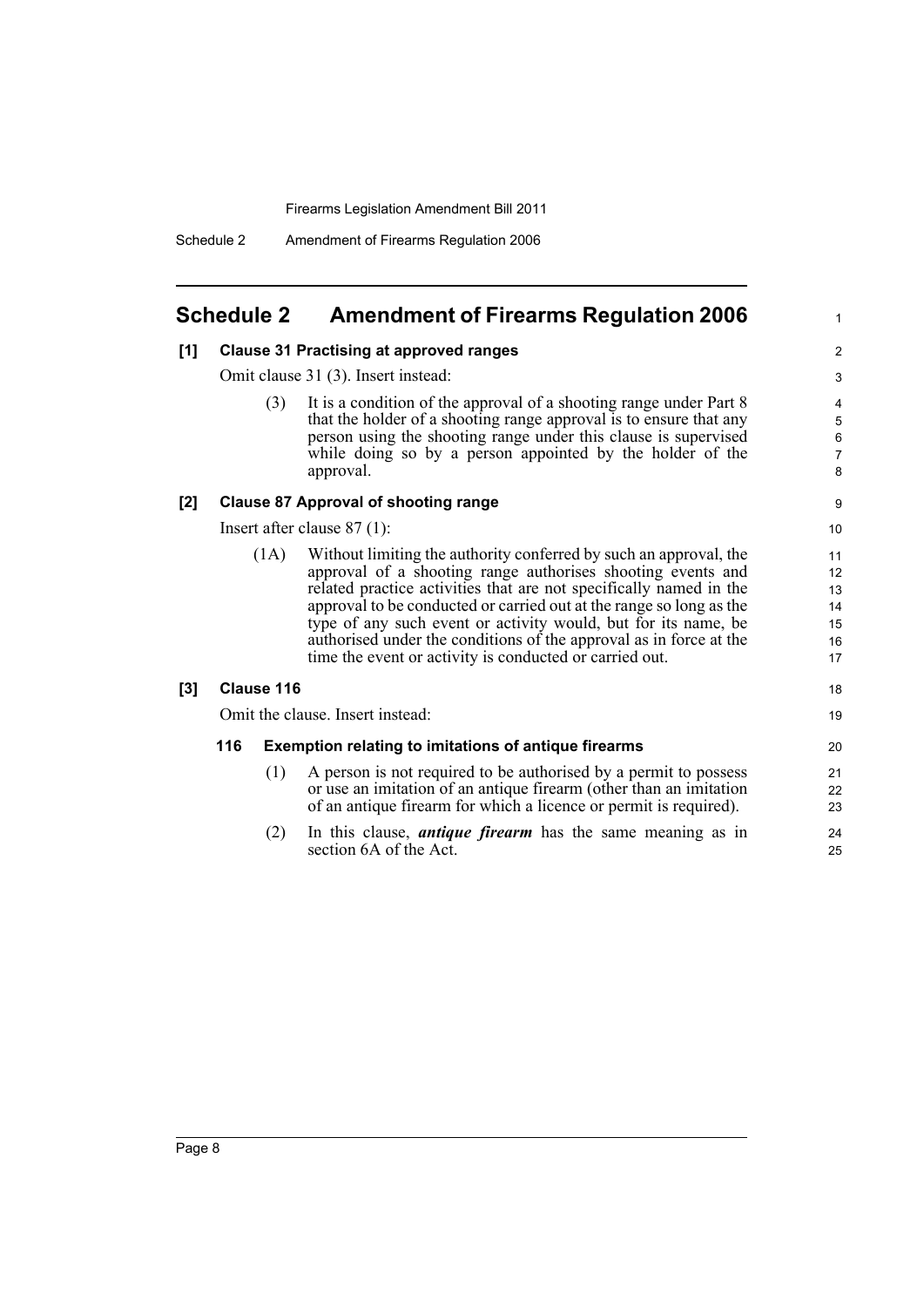## <span id="page-13-0"></span>**Schedule 2 Amendment of Firearms Regulation 2006**

### **[1] Clause 31 Practising at approved ranges**

Omit clause 31 (3). Insert instead:

(3) It is a condition of the approval of a shooting range under Part 8 that the holder of a shooting range approval is to ensure that any person using the shooting range under this clause is supervised while doing so by a person appointed by the holder of the approval.

1

18 19

#### **[2] Clause 87 Approval of shooting range**

Insert after clause 87 (1):

(1A) Without limiting the authority conferred by such an approval, the approval of a shooting range authorises shooting events and related practice activities that are not specifically named in the approval to be conducted or carried out at the range so long as the type of any such event or activity would, but for its name, be authorised under the conditions of the approval as in force at the time the event or activity is conducted or carried out.

#### **[3] Clause 116**

Omit the clause. Insert instead:

#### **116 Exemption relating to imitations of antique firearms**

- (1) A person is not required to be authorised by a permit to possess or use an imitation of an antique firearm (other than an imitation of an antique firearm for which a licence or permit is required).
- (2) In this clause, *antique firearm* has the same meaning as in section 6A of the Act.